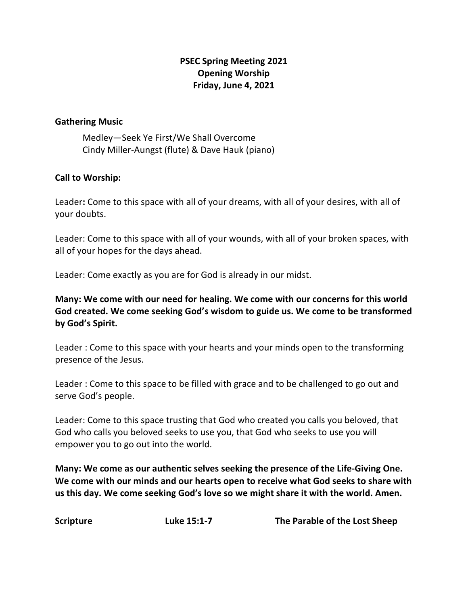# **PSEC Spring Meeting 2021 Opening Worship Friday, June 4, 2021**

#### **Gathering Music**

Medley—Seek Ye First/We Shall Overcome Cindy Miller-Aungst (flute) & Dave Hauk (piano)

#### **Call to Worship:**

Leader**:** Come to this space with all of your dreams, with all of your desires, with all of your doubts.

Leader: Come to this space with all of your wounds, with all of your broken spaces, with all of your hopes for the days ahead.

Leader: Come exactly as you are for God is already in our midst.

**Many: We come with our need for healing. We come with our concerns for this world God created. We come seeking God's wisdom to guide us. We come to be transformed by God's Spirit.**

Leader : Come to this space with your hearts and your minds open to the transforming presence of the Jesus.

Leader : Come to this space to be filled with grace and to be challenged to go out and serve God's people.

Leader: Come to this space trusting that God who created you calls you beloved, that God who calls you beloved seeks to use you, that God who seeks to use you will empower you to go out into the world.

**Many: We come as our authentic selves seeking the presence of the Life-Giving One. We come with our minds and our hearts open to receive what God seeks to share with us this day. We come seeking God's love so we might share it with the world. Amen.**

**Scripture Luke 15:1-7 The Parable of the Lost Sheep**